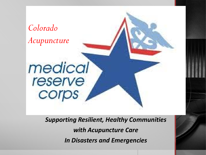

*Supporting Resilient, Healthy Communities with Acupuncture Care In Disasters and Emergencies*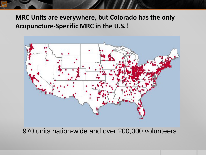### **MRC Units are everywhere, but Colorado has the only Acupuncture-Specific MRC in the U.S.!**



970 units nation-wide and over 200,000 volunteers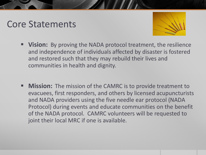## Core Statements



- **Vision:** By proving the NADA protocol treatment, the resilience and independence of individuals affected by disaster is fostered and restored such that they may rebuild their lives and communities in health and dignity.
- **Mission:** The mission of the CAMRC is to provide treatment to evacuees, first responders, and others by licensed acupuncturists and NADA providers using the five needle ear protocol (NADA Protocol) during events and educate communities on the benefit of the NADA protocol. CAMRC volunteers will be requested to joint their local MRC if one is available.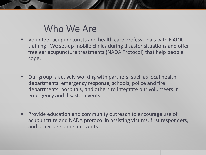### Who We Are

- Volunteer acupuncturists and health care professionals with NADA training. We set-up mobile clinics during disaster situations and offer free ear acupuncture treatments (NADA Protocol) that help people cope.
- Our group is actively working with partners, such as local health departments, emergency response, schools, police and fire departments, hospitals, and others to integrate our volunteers in emergency and disaster events.
- Provide education and community outreach to encourage use of acupuncture and NADA protocol in assisting victims, first responders, and other personnel in events.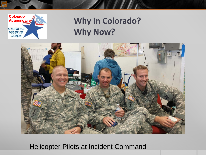

## **Why in Colorado? Why Now?**

 $\mathcal{L}(\mathcal{L})$ 



Helicopter Pilots at Incident Command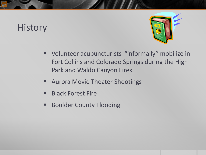## **History**



- Volunteer acupuncturists "informally" mobilize in Fort Collins and Colorado Springs during the High Park and Waldo Canyon Fires.
- Aurora Movie Theater Shootings
- **Black Forest Fire**
- **Boulder County Flooding**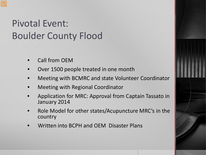# Pivotal Event: Boulder County Flood

- Call from OEM
- Over 1500 people treated in one month
- Meeting with BCMRC and state Volunteer Coordinator
- Meeting with Regional Coordinator
- Application for MRC: Approval from Captain Tassato in January 2014
- Role Model for other states/Acupuncture MRC's in the country
- Written into BCPH and OEM Disaster Plans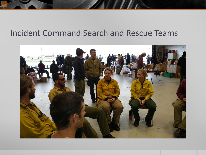### Incident Command Search and Rescue Teams

 $\mathcal{L}$ 

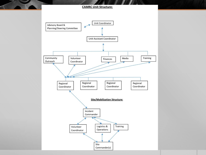#### **CAMRC Unit Structure:**

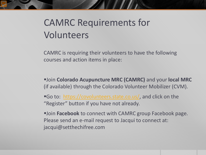## CAMRC Requirements for Volunteers

CAMRC is requiring their volunteers to have the following courses and action items in place:

Join **Colorado Acupuncture MRC (CAMRC)** and your **local MRC**  (if available) through the Colorado Volunteer Mobilizer (CVM).

Go to: [https://covolunteers.state.co.us/,](https://covolunteers.state.co.us/) and click on the "Register" button if you have not already.

**Join Facebook** to connect with CAMRC group Facebook page. Please send an e-mail request to Jacqui to connect at: jacqui@setthechifree.com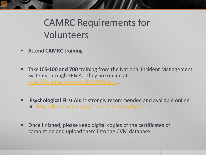## CAMRC Requirements for Volunteers

- Attend **CAMRC training**
- **Take ICS-100 and 700** training from the National Incident Management Systems through FEMA. They are online at [http://training.fema.gov/IS/NIMS.aspx.](http://training.fema.gov/IS/NIMS.aspx)
- **Psychological First Aid** is strongly recommended and available online at: http://learn.nctsn.org/course/category.php?id=11
- Once finished, please keep digital copies of the certificates of completion and upload them into the CVM database.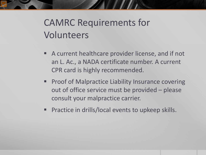# CAMRC Requirements for Volunteers

- A current healthcare provider license, and if not an L. Ac., a NADA certificate number. A current CPR card is highly recommended.
- **Proof of Malpractice Liability Insurance covering** out of office service must be provided – please consult your malpractice carrier.
- **Practice in drills/local events to upkeep skills.**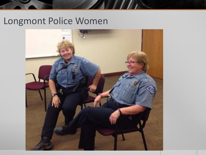## Longmont Police Women



**All Allen**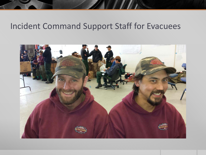### Incident Command Support Staff for Evacuees

 $\mathcal{L}$